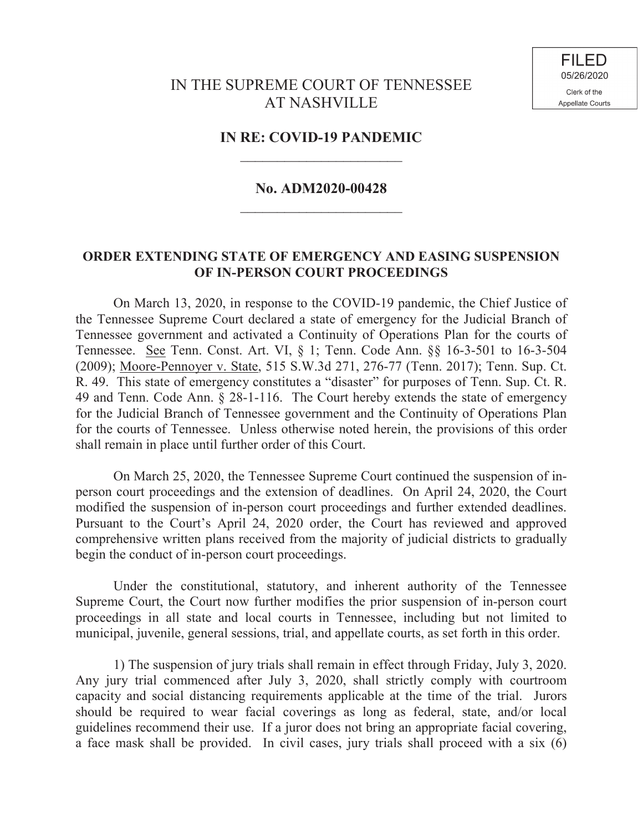**FILED** 05/26/2020 Clerk of the Appellate Courts

## **IN RE: COVID-19 PANDEMIC**  $\overline{\phantom{a}}$  , which is a set of the set of the set of the set of the set of the set of the set of the set of the set of the set of the set of the set of the set of the set of the set of the set of the set of the set of th

## **No. ADM2020-00428** \_\_\_\_\_\_\_\_\_\_\_\_\_\_\_\_\_\_\_\_\_\_

## **ORDER EXTENDING STATE OF EMERGENCY AND EASING SUSPENSION OF IN-PERSON COURT PROCEEDINGS**

On March 13, 2020, in response to the COVID-19 pandemic, the Chief Justice of the Tennessee Supreme Court declared a state of emergency for the Judicial Branch of Tennessee government and activated a Continuity of Operations Plan for the courts of Tennessee. See Tenn. Const. Art. VI, § 1; Tenn. Code Ann. §§ 16-3-501 to 16-3-504 (2009); Moore-Pennoyer v. State, 515 S.W.3d 271, 276-77 (Tenn. 2017); Tenn. Sup. Ct. R. 49. This state of emergency constitutes a "disaster" for purposes of Tenn. Sup. Ct. R. 49 and Tenn. Code Ann. § 28-1-116. The Court hereby extends the state of emergency for the Judicial Branch of Tennessee government and the Continuity of Operations Plan for the courts of Tennessee. Unless otherwise noted herein, the provisions of this order shall remain in place until further order of this Court.

On March 25, 2020, the Tennessee Supreme Court continued the suspension of inperson court proceedings and the extension of deadlines. On April 24, 2020, the Court modified the suspension of in-person court proceedings and further extended deadlines. Pursuant to the Court's April 24, 2020 order, the Court has reviewed and approved comprehensive written plans received from the majority of judicial districts to gradually begin the conduct of in-person court proceedings.

Under the constitutional, statutory, and inherent authority of the Tennessee Supreme Court, the Court now further modifies the prior suspension of in-person court proceedings in all state and local courts in Tennessee, including but not limited to municipal, juvenile, general sessions, trial, and appellate courts, as set forth in this order.

1) The suspension of jury trials shall remain in effect through Friday, July 3, 2020. Any jury trial commenced after July 3, 2020, shall strictly comply with courtroom capacity and social distancing requirements applicable at the time of the trial. Jurors should be required to wear facial coverings as long as federal, state, and/or local guidelines recommend their use. If a juror does not bring an appropriate facial covering, a face mask shall be provided. In civil cases, jury trials shall proceed with a six (6)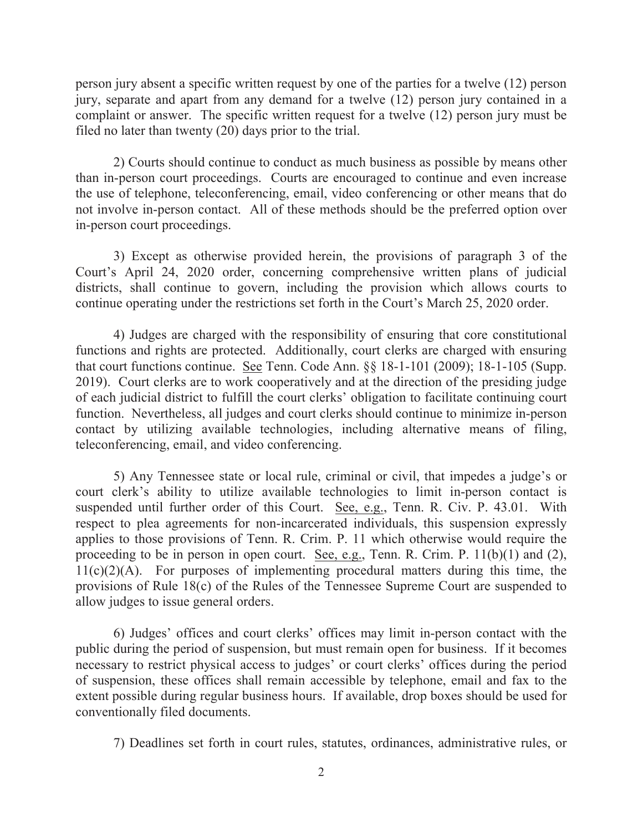person jury absent a specific written request by one of the parties for a twelve (12) person jury, separate and apart from any demand for a twelve (12) person jury contained in a complaint or answer. The specific written request for a twelve (12) person jury must be filed no later than twenty (20) days prior to the trial.

2) Courts should continue to conduct as much business as possible by means other than in-person court proceedings. Courts are encouraged to continue and even increase the use of telephone, teleconferencing, email, video conferencing or other means that do not involve in-person contact. All of these methods should be the preferred option over in-person court proceedings.

3) Except as otherwise provided herein, the provisions of paragraph 3 of the Court's April 24, 2020 order, concerning comprehensive written plans of judicial districts, shall continue to govern, including the provision which allows courts to continue operating under the restrictions set forth in the Court's March 25, 2020 order.

4) Judges are charged with the responsibility of ensuring that core constitutional functions and rights are protected. Additionally, court clerks are charged with ensuring that court functions continue. See Tenn. Code Ann. §§ 18-1-101 (2009); 18-1-105 (Supp. 2019). Court clerks are to work cooperatively and at the direction of the presiding judge of each judicial district to fulfill the court clerks' obligation to facilitate continuing court function. Nevertheless, all judges and court clerks should continue to minimize in-person contact by utilizing available technologies, including alternative means of filing, teleconferencing, email, and video conferencing.

5) Any Tennessee state or local rule, criminal or civil, that impedes a judge's or court clerk's ability to utilize available technologies to limit in-person contact is suspended until further order of this Court. See, e.g., Tenn. R. Civ. P. 43.01. With respect to plea agreements for non-incarcerated individuals, this suspension expressly applies to those provisions of Tenn. R. Crim. P. 11 which otherwise would require the proceeding to be in person in open court. See, e.g., Tenn. R. Crim. P. 11(b)(1) and (2),  $11(c)(2)(A)$ . For purposes of implementing procedural matters during this time, the provisions of Rule 18(c) of the Rules of the Tennessee Supreme Court are suspended to allow judges to issue general orders.

6) Judges' offices and court clerks' offices may limit in-person contact with the public during the period of suspension, but must remain open for business. If it becomes necessary to restrict physical access to judges' or court clerks' offices during the period of suspension, these offices shall remain accessible by telephone, email and fax to the extent possible during regular business hours. If available, drop boxes should be used for conventionally filed documents.

7) Deadlines set forth in court rules, statutes, ordinances, administrative rules, or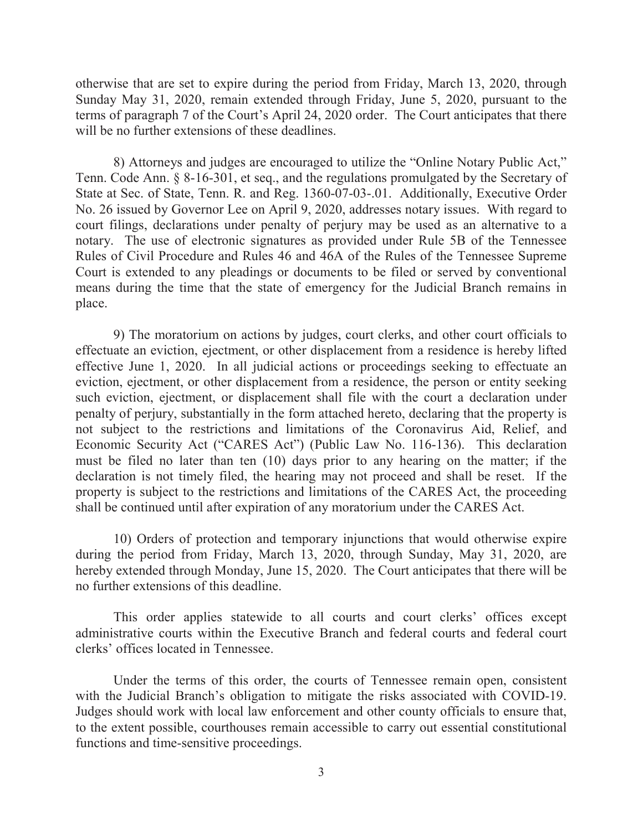otherwise that are set to expire during the period from Friday, March 13, 2020, through Sunday May 31, 2020, remain extended through Friday, June 5, 2020, pursuant to the terms of paragraph 7 of the Court's April 24, 2020 order. The Court anticipates that there will be no further extensions of these deadlines.

8) Attorneys and judges are encouraged to utilize the "Online Notary Public Act," Tenn. Code Ann. § 8-16-301, et seq., and the regulations promulgated by the Secretary of State at Sec. of State, Tenn. R. and Reg. 1360-07-03-.01. Additionally, Executive Order No. 26 issued by Governor Lee on April 9, 2020, addresses notary issues. With regard to court filings, declarations under penalty of perjury may be used as an alternative to a notary. The use of electronic signatures as provided under Rule 5B of the Tennessee Rules of Civil Procedure and Rules 46 and 46A of the Rules of the Tennessee Supreme Court is extended to any pleadings or documents to be filed or served by conventional means during the time that the state of emergency for the Judicial Branch remains in place.

9) The moratorium on actions by judges, court clerks, and other court officials to effectuate an eviction, ejectment, or other displacement from a residence is hereby lifted effective June 1, 2020. In all judicial actions or proceedings seeking to effectuate an eviction, ejectment, or other displacement from a residence, the person or entity seeking such eviction, ejectment, or displacement shall file with the court a declaration under penalty of perjury, substantially in the form attached hereto, declaring that the property is not subject to the restrictions and limitations of the Coronavirus Aid, Relief, and Economic Security Act ("CARES Act") (Public Law No. 116-136). This declaration must be filed no later than ten (10) days prior to any hearing on the matter; if the declaration is not timely filed, the hearing may not proceed and shall be reset. If the property is subject to the restrictions and limitations of the CARES Act, the proceeding shall be continued until after expiration of any moratorium under the CARES Act.

10) Orders of protection and temporary injunctions that would otherwise expire during the period from Friday, March 13, 2020, through Sunday, May 31, 2020, are hereby extended through Monday, June 15, 2020. The Court anticipates that there will be no further extensions of this deadline.

This order applies statewide to all courts and court clerks' offices except administrative courts within the Executive Branch and federal courts and federal court clerks' offices located in Tennessee.

Under the terms of this order, the courts of Tennessee remain open, consistent with the Judicial Branch's obligation to mitigate the risks associated with COVID-19. Judges should work with local law enforcement and other county officials to ensure that, to the extent possible, courthouses remain accessible to carry out essential constitutional functions and time-sensitive proceedings.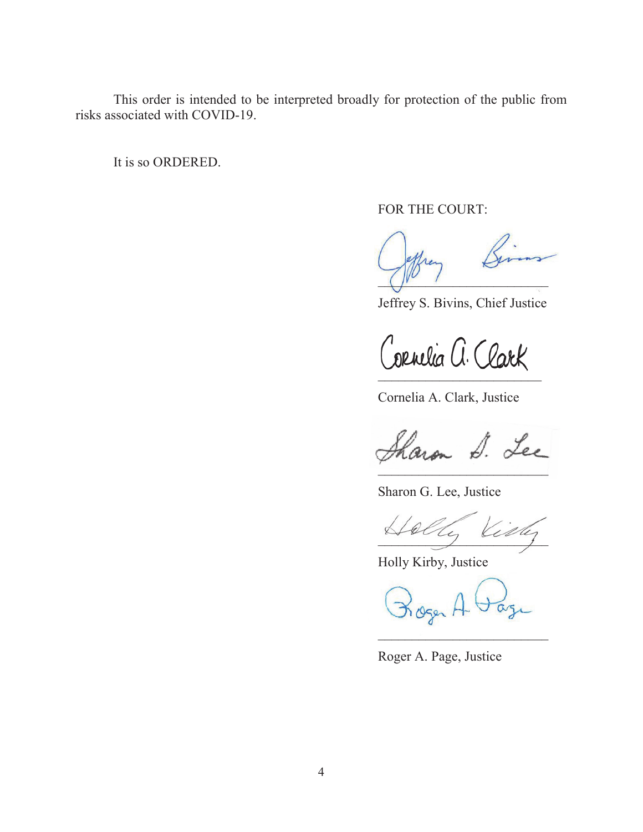This order is intended to be interpreted broadly for protection of the public from risks associated with COVID-19.

It is so ORDERED.

FOR THE COURT:

 $\bigcap_{k\in\mathbb{Z}}$ 

Jeffrey S. Bivins, Chief Justice

 $\overline{a}$ 

Cornelia A. Clark, Justice

Sharon D. Lee  $\mathcal{L}=\mathcal{L}=\mathcal{L}=\mathcal{L}=\mathcal{L}=\mathcal{L}=\mathcal{L}=\mathcal{L}=\mathcal{L}=\mathcal{L}=\mathcal{L}=\mathcal{L}=\mathcal{L}=\mathcal{L}=\mathcal{L}=\mathcal{L}=\mathcal{L}=\mathcal{L}=\mathcal{L}=\mathcal{L}=\mathcal{L}=\mathcal{L}=\mathcal{L}=\mathcal{L}=\mathcal{L}=\mathcal{L}=\mathcal{L}=\mathcal{L}=\mathcal{L}=\mathcal{L}=\mathcal{L}=\mathcal{L}=\mathcal{L}=\mathcal{L}=\mathcal{L}=\mathcal{L}=\mathcal{$ 

Sharon G. Lee, Justice

 $\sim$   $\sim$   $\sim$   $\sim$   $\sim$ 

Holly Kirby, Justice

 $\mathcal{L}$  , we are the set of the set of the set of the set of the set of the set of the set of the set of the set of the set of the set of the set of the set of the set of the set of the set of the set of the set of the s

Roger A. Page, Justice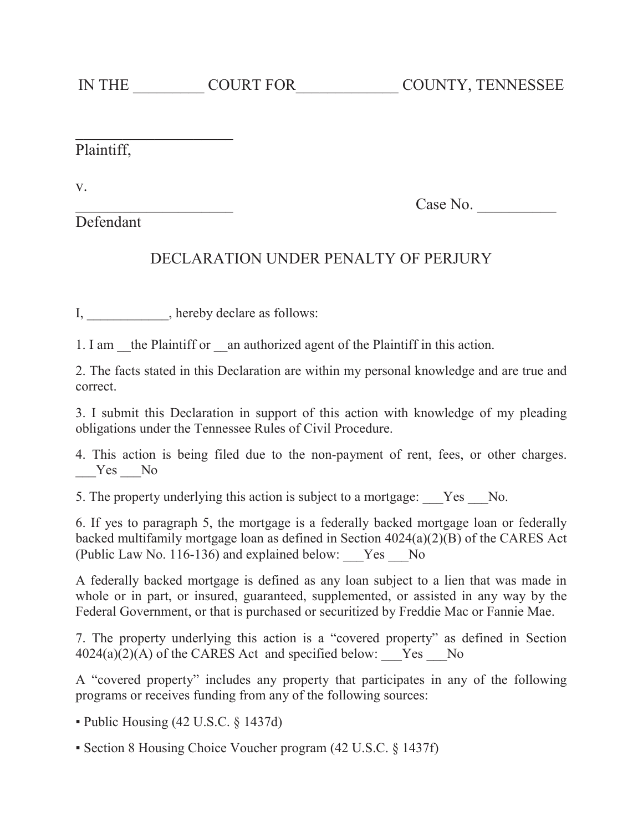$\overline{\phantom{a}}$  , which is a set of the set of the set of the set of the set of the set of the set of the set of the set of the set of the set of the set of the set of the set of the set of the set of the set of the set of th Plaintiff,

v.

Case No.

Defendant

## DECLARATION UNDER PENALTY OF PERJURY

I, \_\_\_\_\_\_\_\_\_\_\_, hereby declare as follows:

1. I am the Plaintiff or an authorized agent of the Plaintiff in this action.

2. The facts stated in this Declaration are within my personal knowledge and are true and correct.

3. I submit this Declaration in support of this action with knowledge of my pleading obligations under the Tennessee Rules of Civil Procedure.

4. This action is being filed due to the non-payment of rent, fees, or other charges. \_\_\_Yes \_\_\_No

5. The property underlying this action is subject to a mortgage: Yes No.

6. If yes to paragraph 5, the mortgage is a federally backed mortgage loan or federally backed multifamily mortgage loan as defined in Section 4024(a)(2)(B) of the CARES Act (Public Law No. 116-136) and explained below: \_\_\_Yes \_\_\_No

A federally backed mortgage is defined as any loan subject to a lien that was made in whole or in part, or insured, guaranteed, supplemented, or assisted in any way by the Federal Government, or that is purchased or securitized by Freddie Mac or Fannie Mae.

7. The property underlying this action is a "covered property" as defined in Section  $4024(a)(2)(A)$  of the CARES Act and specified below: Yes No

A "covered property" includes any property that participates in any of the following programs or receives funding from any of the following sources:

- Public Housing (42 U.S.C. § 1437d)
- Section 8 Housing Choice Voucher program (42 U.S.C. § 1437f)